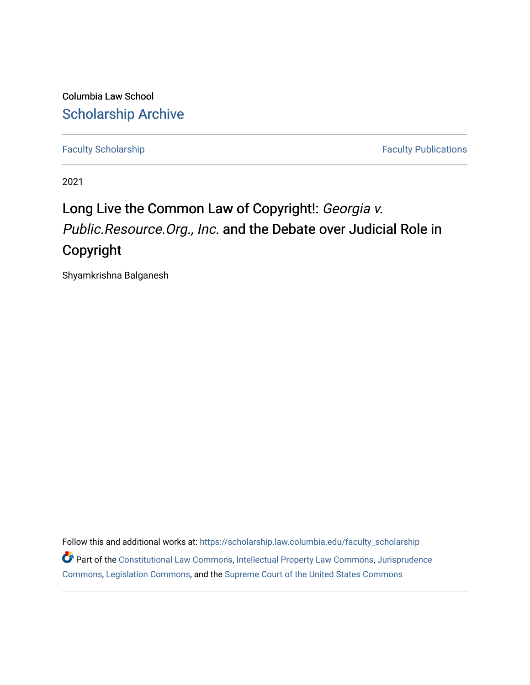Columbia Law School [Scholarship Archive](https://scholarship.law.columbia.edu/) 

[Faculty Scholarship](https://scholarship.law.columbia.edu/faculty_scholarship) **Faculty Scholarship** Faculty Publications

2021

# Long Live the Common Law of Copyright!: Georgia v. Public.Resource.Org., Inc. and the Debate over Judicial Role in Copyright

Shyamkrishna Balganesh

Follow this and additional works at: [https://scholarship.law.columbia.edu/faculty\\_scholarship](https://scholarship.law.columbia.edu/faculty_scholarship?utm_source=scholarship.law.columbia.edu%2Ffaculty_scholarship%2F2776&utm_medium=PDF&utm_campaign=PDFCoverPages) Part of the [Constitutional Law Commons,](http://network.bepress.com/hgg/discipline/589?utm_source=scholarship.law.columbia.edu%2Ffaculty_scholarship%2F2776&utm_medium=PDF&utm_campaign=PDFCoverPages) [Intellectual Property Law Commons,](http://network.bepress.com/hgg/discipline/896?utm_source=scholarship.law.columbia.edu%2Ffaculty_scholarship%2F2776&utm_medium=PDF&utm_campaign=PDFCoverPages) [Jurisprudence](http://network.bepress.com/hgg/discipline/610?utm_source=scholarship.law.columbia.edu%2Ffaculty_scholarship%2F2776&utm_medium=PDF&utm_campaign=PDFCoverPages)  [Commons](http://network.bepress.com/hgg/discipline/610?utm_source=scholarship.law.columbia.edu%2Ffaculty_scholarship%2F2776&utm_medium=PDF&utm_campaign=PDFCoverPages), [Legislation Commons,](http://network.bepress.com/hgg/discipline/859?utm_source=scholarship.law.columbia.edu%2Ffaculty_scholarship%2F2776&utm_medium=PDF&utm_campaign=PDFCoverPages) and the [Supreme Court of the United States Commons](http://network.bepress.com/hgg/discipline/1350?utm_source=scholarship.law.columbia.edu%2Ffaculty_scholarship%2F2776&utm_medium=PDF&utm_campaign=PDFCoverPages)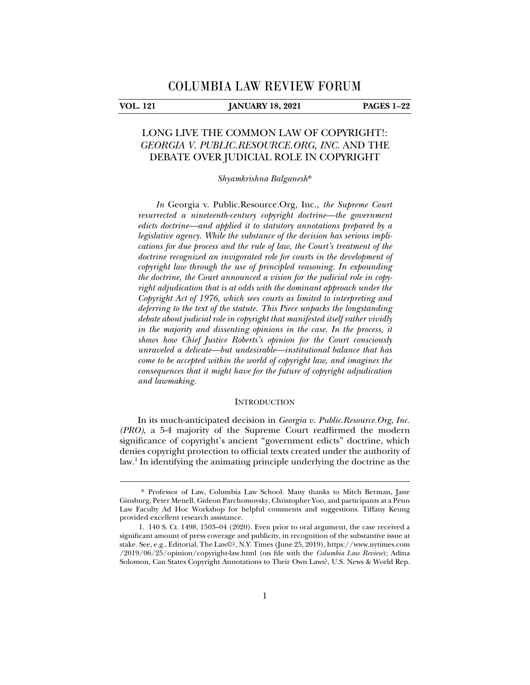j

### **VOL. 121 JANUARY 18, 2021 PAGES 1–22**

## LONG LIVE THE COMMON LAW OF COPYRIGHT!: *GEORGIA V. PUBLIC.RESOURCE.ORG, INC.* AND THE DEBATE OVER JUDICIAL ROLE IN COPYRIGHT

*Shyamkrishna Balganesh*\*

*In* Georgia v. Public.Resource.Org, Inc.*, the Supreme Court resurrected a nineteenth-century copyright doctrine—the government edicts doctrine—and applied it to statutory annotations prepared by a legislative agency. While the substance of the decision has serious implications for due process and the rule of law, the Court's treatment of the doctrine recognized an invigorated role for courts in the development of copyright law through the use of principled reasoning. In expounding the doctrine, the Court announced a vision for the judicial role in copyright adjudication that is at odds with the dominant approach under the Copyright Act of 1976, which sees courts as limited to interpreting and deferring to the text of the statute. This Piece unpacks the longstanding debate about judicial role in copyright that manifested itself rather vividly*  in the majority and dissenting opinions in the case. In the process, it *shows how Chief Justice Roberts's opinion for the Court consciously unraveled a delicate—but undesirable—institutional balance that has come to be accepted within the world of copyright law, and imagines the consequences that it might have for the future of copyright adjudication and lawmaking.* 

#### **INTRODUCTION**

In its much-anticipated decision in *Georgia v. Public.Resource.Org*, *Inc. (PRO)*, a 5-4 majority of the Supreme Court reaffirmed the modern significance of copyright's ancient "government edicts" doctrine, which denies copyright protection to official texts created under the authority of law.1 In identifying the animating principle underlying the doctrine as the

<sup>\*</sup> Professor of Law, Columbia Law School. Many thanks to Mitch Berman, Jane Ginsburg, Peter Menell, Gideon Parchomovsky, Christopher Yoo, and participants at a Penn Law Faculty Ad Hoc Workshop for helpful comments and suggestions. Tiffany Keung provided excellent research assistance.

 <sup>1. 140</sup> S. Ct. 1498, 1503–04 (2020). Even prior to oral argument, the case received a significant amount of press coverage and publicity, in recognition of the substantive issue at stake. See, e.g., Editorial, The Law©?, N.Y. Times (June 25, 2019), https://www.nytimes.com /2019/06/25/opinion/copyright-law.html (on file with the *Columbia Law Review*); Adina Solomon, Can States Copyright Annotations to Their Own Laws?, U.S. News & World Rep.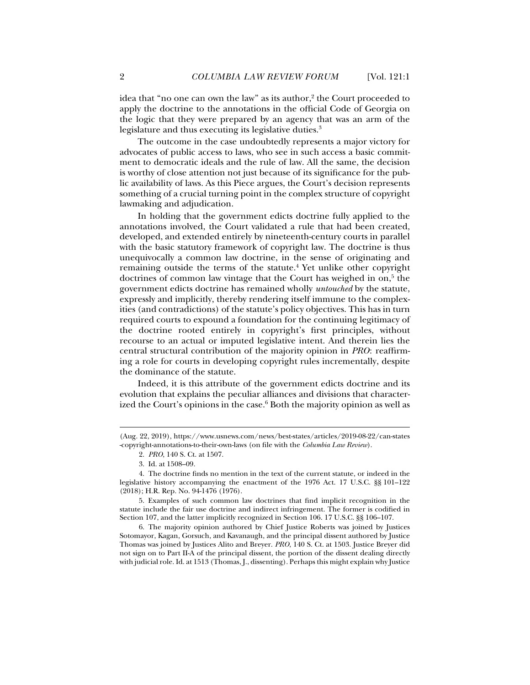idea that "no one can own the law" as its author,<sup>2</sup> the Court proceeded to apply the doctrine to the annotations in the official Code of Georgia on the logic that they were prepared by an agency that was an arm of the legislature and thus executing its legislative duties.<sup>3</sup>

The outcome in the case undoubtedly represents a major victory for advocates of public access to laws, who see in such access a basic commitment to democratic ideals and the rule of law. All the same, the decision is worthy of close attention not just because of its significance for the public availability of laws. As this Piece argues, the Court's decision represents something of a crucial turning point in the complex structure of copyright lawmaking and adjudication.

In holding that the government edicts doctrine fully applied to the annotations involved, the Court validated a rule that had been created, developed, and extended entirely by nineteenth-century courts in parallel with the basic statutory framework of copyright law. The doctrine is thus unequivocally a common law doctrine, in the sense of originating and remaining outside the terms of the statute.<sup>4</sup> Yet unlike other copyright doctrines of common law vintage that the Court has weighed in on,<sup>5</sup> the government edicts doctrine has remained wholly *untouched* by the statute, expressly and implicitly, thereby rendering itself immune to the complexities (and contradictions) of the statute's policy objectives. This has in turn required courts to expound a foundation for the continuing legitimacy of the doctrine rooted entirely in copyright's first principles, without recourse to an actual or imputed legislative intent. And therein lies the central structural contribution of the majority opinion in *PRO*: reaffirming a role for courts in developing copyright rules incrementally, despite the dominance of the statute.

Indeed, it is this attribute of the government edicts doctrine and its evolution that explains the peculiar alliances and divisions that characterized the Court's opinions in the case.<sup>6</sup> Both the majority opinion as well as

<sup>(</sup>Aug. 22, 2019), https://www.usnews.com/news/best-states/articles/2019-08-22/can-states -copyright-annotations-to-their-own-laws (on file with the *Columbia Law Review*).

 <sup>2.</sup> *PRO*, 140 S. Ct. at 1507.

 <sup>3.</sup> Id. at 1508–09.

 <sup>4.</sup> The doctrine finds no mention in the text of the current statute, or indeed in the legislative history accompanying the enactment of the 1976 Act. 17 U.S.C. §§ 101–122 (2018); H.R. Rep. No. 94-1476 (1976).

 <sup>5.</sup> Examples of such common law doctrines that find implicit recognition in the statute include the fair use doctrine and indirect infringement. The former is codified in Section 107, and the latter implicitly recognized in Section 106. 17 U.S.C. §§ 106–107.

 <sup>6.</sup> The majority opinion authored by Chief Justice Roberts was joined by Justices Sotomayor, Kagan, Gorsuch, and Kavanaugh, and the principal dissent authored by Justice Thomas was joined by Justices Alito and Breyer. *PRO*, 140 S. Ct. at 1503. Justice Breyer did not sign on to Part II-A of the principal dissent, the portion of the dissent dealing directly with judicial role. Id. at 1513 (Thomas, J., dissenting). Perhaps this might explain why Justice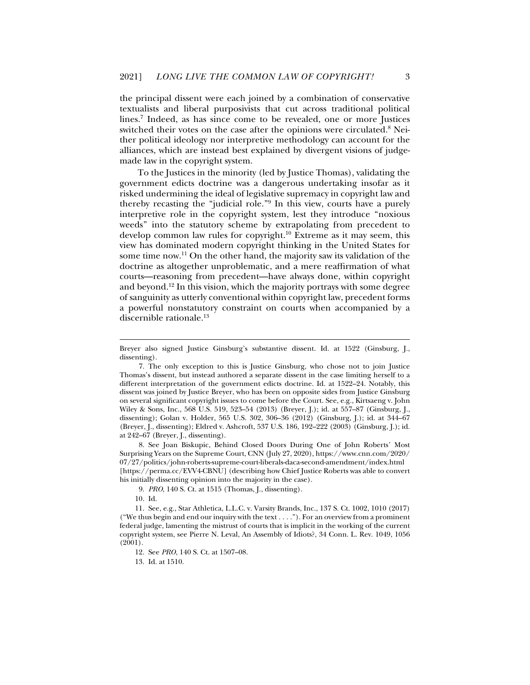the principal dissent were each joined by a combination of conservative textualists and liberal purposivists that cut across traditional political lines.7 Indeed, as has since come to be revealed, one or more Justices switched their votes on the case after the opinions were circulated.<sup>8</sup> Neither political ideology nor interpretive methodology can account for the alliances, which are instead best explained by divergent visions of judgemade law in the copyright system.

To the Justices in the minority (led by Justice Thomas), validating the government edicts doctrine was a dangerous undertaking insofar as it risked undermining the ideal of legislative supremacy in copyright law and thereby recasting the "judicial role."9 In this view, courts have a purely interpretive role in the copyright system, lest they introduce "noxious weeds" into the statutory scheme by extrapolating from precedent to develop common law rules for copyright.<sup>10</sup> Extreme as it may seem, this view has dominated modern copyright thinking in the United States for some time now.11 On the other hand, the majority saw its validation of the doctrine as altogether unproblematic, and a mere reaffirmation of what courts—reasoning from precedent—have always done, within copyright and beyond.<sup>12</sup> In this vision, which the majority portrays with some degree of sanguinity as utterly conventional within copyright law, precedent forms a powerful nonstatutory constraint on courts when accompanied by a discernible rationale.<sup>13</sup>

 8. See Joan Biskupic, Behind Closed Doors During One of John Roberts' Most Surprising Years on the Supreme Court, CNN (July 27, 2020), https://www.cnn.com/2020/ 07/27/politics/john-roberts-supreme-court-liberals-daca-second-amendment/index.html [https://perma.cc/EVV4-CBNU] (describing how Chief Justice Roberts was able to convert his initially dissenting opinion into the majority in the case).

9. *PRO*, 140 S. Ct. at 1515 (Thomas, J., dissenting).

10. Id.

j

 11. See, e.g., Star Athletica, L.L.C. v. Varsity Brands, Inc., 137 S. Ct. 1002, 1010 (2017) ("We thus begin and end our inquiry with the text . . . ."). For an overview from a prominent federal judge, lamenting the mistrust of courts that is implicit in the working of the current copyright system, see Pierre N. Leval, An Assembly of Idiots?, 34 Conn. L. Rev. 1049, 1056 (2001).

13. Id. at 1510.

Breyer also signed Justice Ginsburg's substantive dissent. Id. at 1522 (Ginsburg, J., dissenting).

 <sup>7.</sup> The only exception to this is Justice Ginsburg, who chose not to join Justice Thomas's dissent, but instead authored a separate dissent in the case limiting herself to a different interpretation of the government edicts doctrine. Id. at 1522–24. Notably, this dissent was joined by Justice Breyer, who has been on opposite sides from Justice Ginsburg on several significant copyright issues to come before the Court. See, e.g., Kirtsaeng v. John Wiley & Sons, Inc., 568 U.S. 519, 523–54 (2013) (Breyer, J.); id. at 557–87 (Ginsburg, J., dissenting); Golan v. Holder, 565 U.S. 302, 306–36 (2012) (Ginsburg, J.); id. at 344–67 (Breyer, J., dissenting); Eldred v. Ashcroft, 537 U.S. 186, 192–222 (2003) (Ginsburg, J.); id. at 242–67 (Breyer, J., dissenting).

 <sup>12.</sup> See *PRO*, 140 S. Ct. at 1507–08.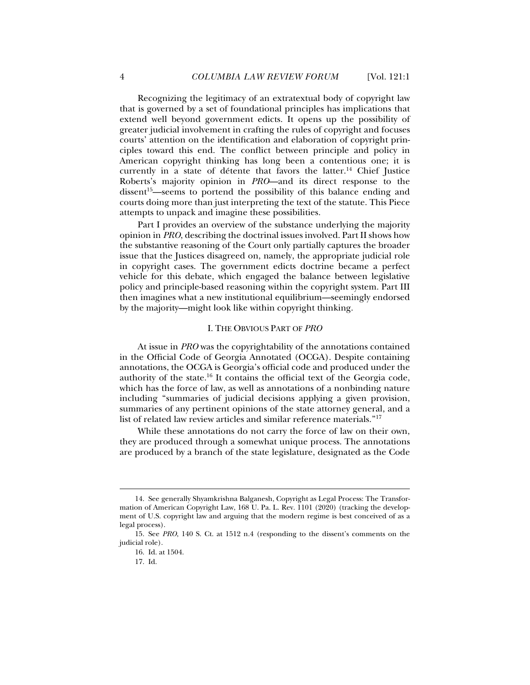Recognizing the legitimacy of an extratextual body of copyright law that is governed by a set of foundational principles has implications that extend well beyond government edicts. It opens up the possibility of greater judicial involvement in crafting the rules of copyright and focuses courts' attention on the identification and elaboration of copyright principles toward this end. The conflict between principle and policy in American copyright thinking has long been a contentious one; it is currently in a state of détente that favors the latter.<sup>14</sup> Chief Justice Roberts's majority opinion in *PRO*—and its direct response to the  $dissent<sup>15</sup>$ —seems to portend the possibility of this balance ending and courts doing more than just interpreting the text of the statute. This Piece attempts to unpack and imagine these possibilities.

Part I provides an overview of the substance underlying the majority opinion in *PRO*, describing the doctrinal issues involved. Part II shows how the substantive reasoning of the Court only partially captures the broader issue that the Justices disagreed on, namely, the appropriate judicial role in copyright cases. The government edicts doctrine became a perfect vehicle for this debate, which engaged the balance between legislative policy and principle-based reasoning within the copyright system. Part III then imagines what a new institutional equilibrium—seemingly endorsed by the majority—might look like within copyright thinking.

#### I. THE OBVIOUS PART OF *PRO*

At issue in *PRO* was the copyrightability of the annotations contained in the Official Code of Georgia Annotated (OCGA). Despite containing annotations, the OCGA is Georgia's official code and produced under the authority of the state.16 It contains the official text of the Georgia code, which has the force of law, as well as annotations of a nonbinding nature including "summaries of judicial decisions applying a given provision, summaries of any pertinent opinions of the state attorney general, and a list of related law review articles and similar reference materials."17

While these annotations do not carry the force of law on their own, they are produced through a somewhat unique process. The annotations are produced by a branch of the state legislature, designated as the Code

17. Id.

 <sup>14.</sup> See generally Shyamkrishna Balganesh, Copyright as Legal Process: The Transformation of American Copyright Law, 168 U. Pa. L. Rev. 1101 (2020) (tracking the development of U.S. copyright law and arguing that the modern regime is best conceived of as a legal process).

 <sup>15.</sup> See *PRO*, 140 S. Ct. at 1512 n.4 (responding to the dissent's comments on the judicial role).

 <sup>16.</sup> Id. at 1504.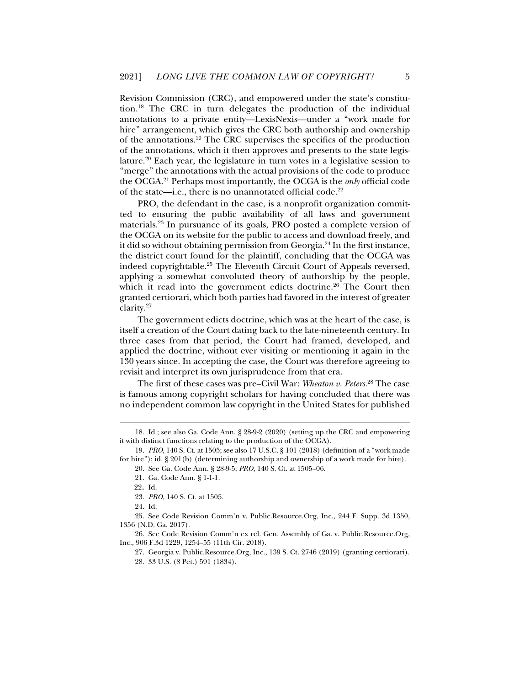Revision Commission (CRC), and empowered under the state's constitution.18 The CRC in turn delegates the production of the individual annotations to a private entity—LexisNexis—under a "work made for hire" arrangement, which gives the CRC both authorship and ownership of the annotations.19 The CRC supervises the specifics of the production of the annotations, which it then approves and presents to the state legislature.20 Each year, the legislature in turn votes in a legislative session to "merge" the annotations with the actual provisions of the code to produce the OCGA.21 Perhaps most importantly, the OCGA is the *only* official code of the state—i.e., there is no unannotated official code.22

PRO, the defendant in the case, is a nonprofit organization committed to ensuring the public availability of all laws and government materials.23 In pursuance of its goals, PRO posted a complete version of the OCGA on its website for the public to access and download freely, and it did so without obtaining permission from Georgia.24 In the first instance, the district court found for the plaintiff, concluding that the OCGA was indeed copyrightable.<sup>25</sup> The Eleventh Circuit Court of Appeals reversed, applying a somewhat convoluted theory of authorship by the people, which it read into the government edicts doctrine.<sup>26</sup> The Court then granted certiorari, which both parties had favored in the interest of greater clarity.27

The government edicts doctrine, which was at the heart of the case, is itself a creation of the Court dating back to the late-nineteenth century. In three cases from that period, the Court had framed, developed, and applied the doctrine, without ever visiting or mentioning it again in the 130 years since. In accepting the case, the Court was therefore agreeing to revisit and interpret its own jurisprudence from that era.

The first of these cases was pre–Civil War: *Wheaton v. Peters*. 28 The case is famous among copyright scholars for having concluded that there was no independent common law copyright in the United States for published

j

 26. See Code Revision Comm'n ex rel. Gen. Assembly of Ga. v. Public.Resource.Org, Inc., 906 F.3d 1229, 1254–55 (11th Cir. 2018).

 27. Georgia v. Public.Resource.Org, Inc., 139 S. Ct. 2746 (2019) (granting certiorari). 28. 33 U.S. (8 Pet.) 591 (1834).

 <sup>18.</sup> Id.; see also Ga. Code Ann. § 28-9-2 (2020) (setting up the CRC and empowering it with distinct functions relating to the production of the OCGA).

 <sup>19.</sup> *PRO*, 140 S. Ct. at 1505; see also 17 U.S.C. § 101 (2018) (definition of a "work made for hire"); id. § 201(b) (determining authorship and ownership of a work made for hire).

 <sup>20.</sup> See Ga. Code Ann. § 28-9-5; *PRO*, 140 S. Ct. at 1505–06.

 <sup>21.</sup> Ga. Code Ann. § 1-1-1.

<sup>22.</sup> Id.

 <sup>23.</sup> *PRO*, 140 S. Ct. at 1505.

 <sup>24.</sup> Id.

 <sup>25.</sup> See Code Revision Comm'n v. Public.Resource.Org, Inc., 244 F. Supp. 3d 1350, 1356 (N.D. Ga. 2017).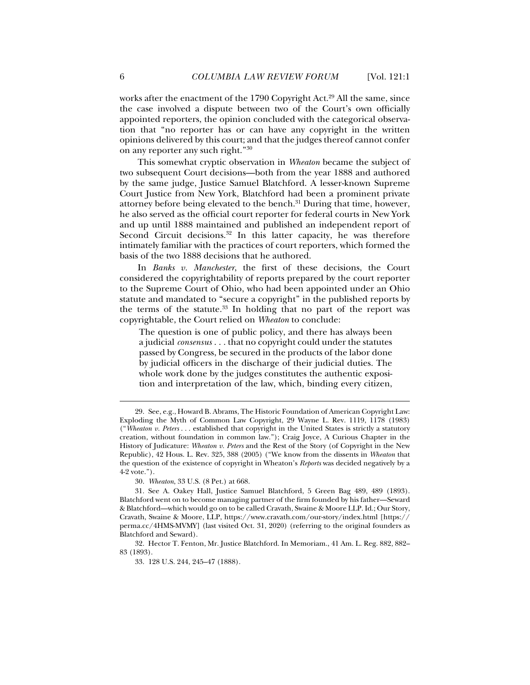works after the enactment of the 1790 Copyright Act.<sup>29</sup> All the same, since the case involved a dispute between two of the Court's own officially appointed reporters, the opinion concluded with the categorical observation that "no reporter has or can have any copyright in the written opinions delivered by this court; and that the judges thereof cannot confer on any reporter any such right."30

This somewhat cryptic observation in *Wheaton* became the subject of two subsequent Court decisions—both from the year 1888 and authored by the same judge, Justice Samuel Blatchford. A lesser-known Supreme Court Justice from New York, Blatchford had been a prominent private attorney before being elevated to the bench.<sup>31</sup> During that time, however, he also served as the official court reporter for federal courts in New York and up until 1888 maintained and published an independent report of Second Circuit decisions.<sup>32</sup> In this latter capacity, he was therefore intimately familiar with the practices of court reporters, which formed the basis of the two 1888 decisions that he authored.

In *Banks v. Manchester*, the first of these decisions, the Court considered the copyrightability of reports prepared by the court reporter to the Supreme Court of Ohio, who had been appointed under an Ohio statute and mandated to "secure a copyright" in the published reports by the terms of the statute.<sup>33</sup> In holding that no part of the report was copyrightable, the Court relied on *Wheaton* to conclude:

The question is one of public policy, and there has always been a judicial *consensus* . . . that no copyright could under the statutes passed by Congress, be secured in the products of the labor done by judicial officers in the discharge of their judicial duties. The whole work done by the judges constitutes the authentic exposition and interpretation of the law, which, binding every citizen,

 32. Hector T. Fenton, Mr. Justice Blatchford. In Memoriam., 41 Am. L. Reg. 882, 882– 83 (1893).

33. 128 U.S. 244, 245–47 (1888).

 <sup>29.</sup> See, e.g., Howard B. Abrams, The Historic Foundation of American Copyright Law: Exploding the Myth of Common Law Copyright, 29 Wayne L. Rev. 1119, 1178 (1983) ("*Wheaton v. Peters* . . . established that copyright in the United States is strictly a statutory creation, without foundation in common law."); Craig Joyce, A Curious Chapter in the History of Judicature: *Wheaton v. Peters* and the Rest of the Story (of Copyright in the New Republic), 42 Hous. L. Rev. 325, 388 (2005) ("We know from the dissents in *Wheaton* that the question of the existence of copyright in Wheaton's *Reports* was decided negatively by a 4-2 vote.").

 <sup>30.</sup> *Wheaton*, 33 U.S. (8 Pet.) at 668.

 <sup>31.</sup> See A. Oakey Hall, Justice Samuel Blatchford, 5 Green Bag 489, 489 (1893). Blatchford went on to become managing partner of the firm founded by his father—Seward & Blatchford—which would go on to be called Cravath, Swaine & Moore LLP. Id.; Our Story, Cravath, Swaine & Moore, LLP, https://www.cravath.com/our-story/index.html [https:// perma.cc/4HMS-MVMY] (last visited Oct. 31, 2020) (referring to the original founders as Blatchford and Seward).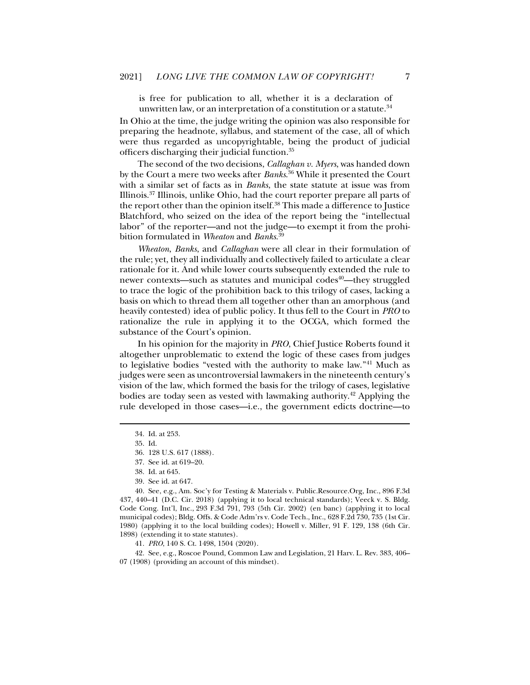is free for publication to all, whether it is a declaration of unwritten law, or an interpretation of a constitution or a statute. $34$ 

In Ohio at the time, the judge writing the opinion was also responsible for preparing the headnote, syllabus, and statement of the case, all of which were thus regarded as uncopyrightable, being the product of judicial officers discharging their judicial function.35

The second of the two decisions, *Callaghan v. Myers*, was handed down by the Court a mere two weeks after *Banks*. 36 While it presented the Court with a similar set of facts as in *Banks*, the state statute at issue was from Illinois.37 Illinois, unlike Ohio, had the court reporter prepare all parts of the report other than the opinion itself.<sup>38</sup> This made a difference to Justice Blatchford, who seized on the idea of the report being the "intellectual labor" of the reporter—and not the judge—to exempt it from the prohibition formulated in *Wheaton* and *Banks*. 39

*Wheaton*, *Banks*, and *Callaghan* were all clear in their formulation of the rule; yet, they all individually and collectively failed to articulate a clear rationale for it. And while lower courts subsequently extended the rule to newer contexts—such as statutes and municipal codes<sup>40</sup>—they struggled to trace the logic of the prohibition back to this trilogy of cases, lacking a basis on which to thread them all together other than an amorphous (and heavily contested) idea of public policy. It thus fell to the Court in *PRO* to rationalize the rule in applying it to the OCGA, which formed the substance of the Court's opinion.

In his opinion for the majority in *PRO*, Chief Justice Roberts found it altogether unproblematic to extend the logic of these cases from judges to legislative bodies "vested with the authority to make law."41 Much as judges were seen as uncontroversial lawmakers in the nineteenth century's vision of the law, which formed the basis for the trilogy of cases, legislative bodies are today seen as vested with lawmaking authority.42 Applying the rule developed in those cases—i.e., the government edicts doctrine—to

j

 40. See, e.g., Am. Soc'y for Testing & Materials v. Public.Resource.Org, Inc., 896 F.3d 437, 440–41 (D.C. Cir. 2018) (applying it to local technical standards); Veeck v. S. Bldg. Code Cong. Int'l, Inc., 293 F.3d 791, 793 (5th Cir. 2002) (en banc) (applying it to local municipal codes); Bldg. Offs. & Code Adm'rs v. Code Tech., Inc., 628 F.2d 730, 735 (1st Cir. 1980) (applying it to the local building codes); Howell v. Miller, 91 F. 129, 138 (6th Cir. 1898) (extending it to state statutes).

41. *PRO*, 140 S. Ct. 1498, 1504 (2020).

 42. See, e.g., Roscoe Pound, Common Law and Legislation, 21 Harv. L. Rev. 383, 406– 07 (1908) (providing an account of this mindset).

 <sup>34.</sup> Id. at 253.

 <sup>35.</sup> Id.

 <sup>36. 128</sup> U.S. 617 (1888).

 <sup>37.</sup> See id. at 619–20.

 <sup>38.</sup> Id. at 645.

 <sup>39.</sup> See id. at 647.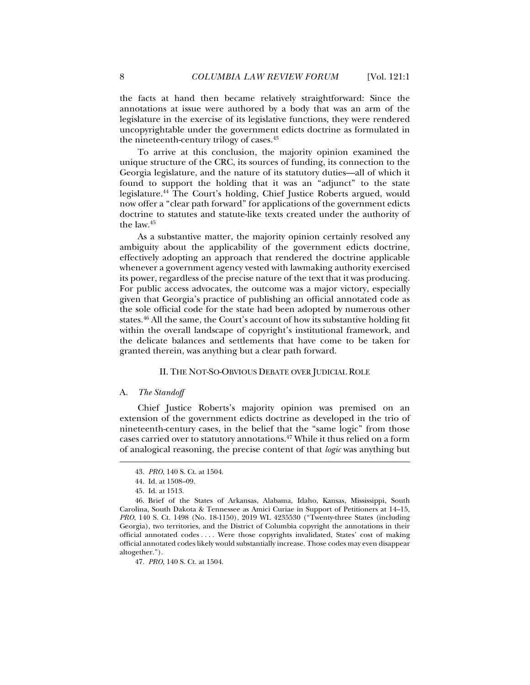the facts at hand then became relatively straightforward: Since the annotations at issue were authored by a body that was an arm of the legislature in the exercise of its legislative functions, they were rendered uncopyrightable under the government edicts doctrine as formulated in the nineteenth-century trilogy of cases.<sup>43</sup>

To arrive at this conclusion, the majority opinion examined the unique structure of the CRC, its sources of funding, its connection to the Georgia legislature, and the nature of its statutory duties—all of which it found to support the holding that it was an "adjunct" to the state legislature.44 The Court's holding, Chief Justice Roberts argued, would now offer a "clear path forward" for applications of the government edicts doctrine to statutes and statute-like texts created under the authority of the law.45

As a substantive matter, the majority opinion certainly resolved any ambiguity about the applicability of the government edicts doctrine, effectively adopting an approach that rendered the doctrine applicable whenever a government agency vested with lawmaking authority exercised its power, regardless of the precise nature of the text that it was producing. For public access advocates, the outcome was a major victory, especially given that Georgia's practice of publishing an official annotated code as the sole official code for the state had been adopted by numerous other states.<sup>46</sup> All the same, the Court's account of how its substantive holding fit within the overall landscape of copyright's institutional framework, and the delicate balances and settlements that have come to be taken for granted therein, was anything but a clear path forward.

#### II. THE NOT-SO-OBVIOUS DEBATE OVER JUDICIAL ROLE

#### A. *The Standoff*

j

Chief Justice Roberts's majority opinion was premised on an extension of the government edicts doctrine as developed in the trio of nineteenth-century cases, in the belief that the "same logic" from those cases carried over to statutory annotations.47 While it thus relied on a form of analogical reasoning, the precise content of that *logic* was anything but

47. *PRO*, 140 S. Ct. at 1504.

 <sup>43.</sup> *PRO*, 140 S. Ct. at 1504.

 <sup>44.</sup> Id. at 1508–09.

 <sup>45.</sup> Id. at 1513.

 <sup>46.</sup> Brief of the States of Arkansas, Alabama, Idaho, Kansas, Mississippi, South Carolina, South Dakota & Tennessee as Amici Curiae in Support of Petitioners at 14–15, *PRO*, 140 S. Ct. 1498 (No. 18-1150), 2019 WL 4235530 ("Twenty-three States (including Georgia), two territories, and the District of Columbia copyright the annotations in their official annotated codes . . . . Were those copyrights invalidated, States' cost of making official annotated codes likely would substantially increase. Those codes may even disappear altogether.").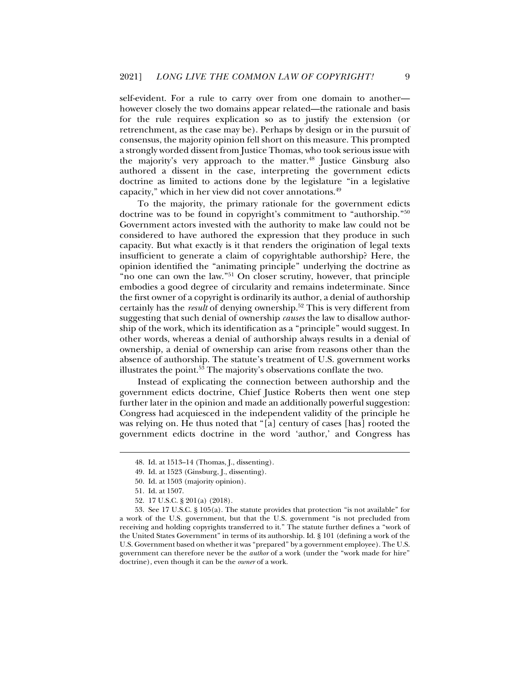self-evident. For a rule to carry over from one domain to another however closely the two domains appear related—the rationale and basis for the rule requires explication so as to justify the extension (or retrenchment, as the case may be). Perhaps by design or in the pursuit of consensus, the majority opinion fell short on this measure. This prompted a strongly worded dissent from Justice Thomas, who took serious issue with the majority's very approach to the matter.48 Justice Ginsburg also authored a dissent in the case, interpreting the government edicts doctrine as limited to actions done by the legislature "in a legislative capacity," which in her view did not cover annotations.49

To the majority, the primary rationale for the government edicts doctrine was to be found in copyright's commitment to "authorship."50 Government actors invested with the authority to make law could not be considered to have authored the expression that they produce in such capacity. But what exactly is it that renders the origination of legal texts insufficient to generate a claim of copyrightable authorship? Here, the opinion identified the "animating principle" underlying the doctrine as "no one can own the law."51 On closer scrutiny, however, that principle embodies a good degree of circularity and remains indeterminate. Since the first owner of a copyright is ordinarily its author, a denial of authorship certainly has the *result* of denying ownership.52 This is very different from suggesting that such denial of ownership *causes* the law to disallow authorship of the work, which its identification as a "principle" would suggest. In other words, whereas a denial of authorship always results in a denial of ownership, a denial of ownership can arise from reasons other than the absence of authorship. The statute's treatment of U.S. government works illustrates the point.53 The majority's observations conflate the two.

Instead of explicating the connection between authorship and the government edicts doctrine, Chief Justice Roberts then went one step further later in the opinion and made an additionally powerful suggestion: Congress had acquiesced in the independent validity of the principle he was relying on. He thus noted that "[a] century of cases [has] rooted the government edicts doctrine in the word 'author,' and Congress has

 <sup>48.</sup> Id. at 1513–14 (Thomas, J., dissenting).

 <sup>49.</sup> Id. at 1523 (Ginsburg, J., dissenting).

 <sup>50.</sup> Id. at 1503 (majority opinion).

 <sup>51.</sup> Id. at 1507.

 <sup>52. 17</sup> U.S.C. § 201(a) (2018).

 <sup>53.</sup> See 17 U.S.C. § 105(a). The statute provides that protection "is not available" for a work of the U.S. government, but that the U.S. government "is not precluded from receiving and holding copyrights transferred to it." The statute further defines a "work of the United States Government" in terms of its authorship. Id. § 101 (defining a work of the U.S. Government based on whether it was "prepared" by a government employee). The U.S. government can therefore never be the *author* of a work (under the "work made for hire" doctrine), even though it can be the *owner* of a work.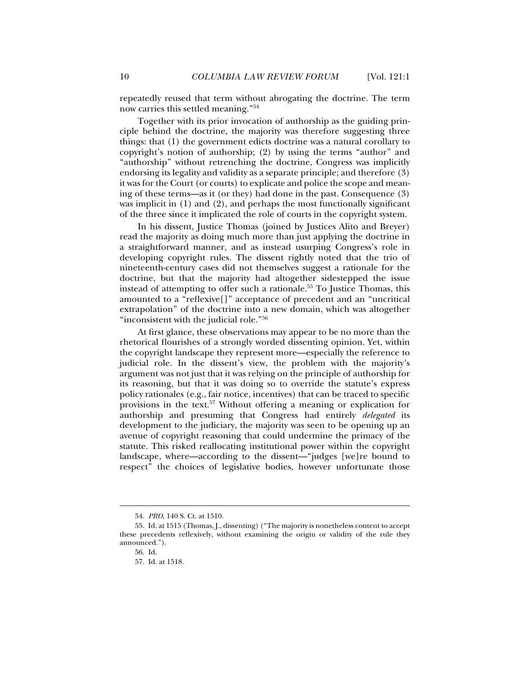repeatedly reused that term without abrogating the doctrine. The term now carries this settled meaning."54

Together with its prior invocation of authorship as the guiding principle behind the doctrine, the majority was therefore suggesting three things: that (1) the government edicts doctrine was a natural corollary to copyright's notion of authorship; (2) by using the terms "author" and "authorship" without retrenching the doctrine, Congress was implicitly endorsing its legality and validity as a separate principle; and therefore (3) it was for the Court (or courts) to explicate and police the scope and meaning of these terms—as it (or they) had done in the past. Consequence (3) was implicit in (1) and (2), and perhaps the most functionally significant of the three since it implicated the role of courts in the copyright system.

In his dissent, Justice Thomas (joined by Justices Alito and Breyer) read the majority as doing much more than just applying the doctrine in a straightforward manner, and as instead usurping Congress's role in developing copyright rules. The dissent rightly noted that the trio of nineteenth-century cases did not themselves suggest a rationale for the doctrine, but that the majority had altogether sidestepped the issue instead of attempting to offer such a rationale.<sup>55</sup> To Justice Thomas, this amounted to a "reflexive[]" acceptance of precedent and an "uncritical extrapolation" of the doctrine into a new domain, which was altogether "inconsistent with the judicial role."56

At first glance, these observations may appear to be no more than the rhetorical flourishes of a strongly worded dissenting opinion. Yet, within the copyright landscape they represent more—especially the reference to judicial role. In the dissent's view, the problem with the majority's argument was not just that it was relying on the principle of authorship for its reasoning, but that it was doing so to override the statute's express policy rationales (e.g., fair notice, incentives) that can be traced to specific provisions in the text.57 Without offering a meaning or explication for authorship and presuming that Congress had entirely *delegated* its development to the judiciary, the majority was seen to be opening up an avenue of copyright reasoning that could undermine the primacy of the statute. This risked reallocating institutional power within the copyright landscape, where—according to the dissent—"judges [we]re bound to respect" the choices of legislative bodies, however unfortunate those

 <sup>54.</sup> *PRO*, 140 S. Ct. at 1510.

 <sup>55.</sup> Id. at 1515 (Thomas, J., dissenting) ("The majority is nonetheless content to accept these precedents reflexively, without examining the origin or validity of the rule they announced.").

 <sup>56.</sup> Id.

 <sup>57.</sup> Id. at 1518.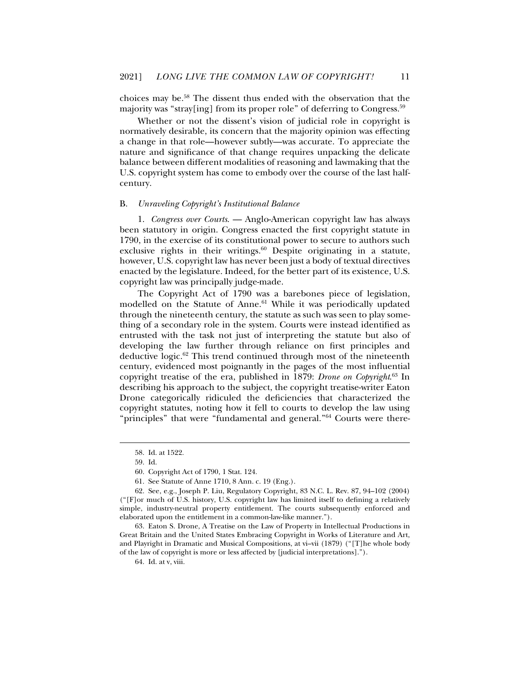choices may be.58 The dissent thus ended with the observation that the majority was "stray[ing] from its proper role" of deferring to Congress.<sup>59</sup>

Whether or not the dissent's vision of judicial role in copyright is normatively desirable, its concern that the majority opinion was effecting a change in that role—however subtly—was accurate. To appreciate the nature and significance of that change requires unpacking the delicate balance between different modalities of reasoning and lawmaking that the U.S. copyright system has come to embody over the course of the last halfcentury.

#### B. *Unraveling Copyright's Institutional Balance*

1. *Congress over Courts*. — Anglo-American copyright law has always been statutory in origin. Congress enacted the first copyright statute in 1790, in the exercise of its constitutional power to secure to authors such exclusive rights in their writings.<sup>60</sup> Despite originating in a statute, however, U.S. copyright law has never been just a body of textual directives enacted by the legislature. Indeed, for the better part of its existence, U.S. copyright law was principally judge-made.

The Copyright Act of 1790 was a barebones piece of legislation, modelled on the Statute of Anne.<sup>61</sup> While it was periodically updated through the nineteenth century, the statute as such was seen to play something of a secondary role in the system. Courts were instead identified as entrusted with the task not just of interpreting the statute but also of developing the law further through reliance on first principles and deductive logic.62 This trend continued through most of the nineteenth century, evidenced most poignantly in the pages of the most influential copyright treatise of the era, published in 1879: *Drone on Copyright*. 63 In describing his approach to the subject, the copyright treatise-writer Eaton Drone categorically ridiculed the deficiencies that characterized the copyright statutes, noting how it fell to courts to develop the law using "principles" that were "fundamental and general."<sup>64</sup> Courts were there-

j

61. See Statute of Anne 1710, 8 Ann. c. 19 (Eng.).

64. Id. at v, viii.

 <sup>58.</sup> Id. at 1522.

 <sup>59.</sup> Id.

 <sup>60.</sup> Copyright Act of 1790, 1 Stat. 124.

 <sup>62.</sup> See, e.g., Joseph P. Liu, Regulatory Copyright, 83 N.C. L. Rev. 87, 94–102 (2004) ("[F]or much of U.S. history, U.S. copyright law has limited itself to defining a relatively simple, industry-neutral property entitlement. The courts subsequently enforced and elaborated upon the entitlement in a common-law-like manner.").

 <sup>63.</sup> Eaton S. Drone, A Treatise on the Law of Property in Intellectual Productions in Great Britain and the United States Embracing Copyright in Works of Literature and Art, and Playright in Dramatic and Musical Compositions, at vi–vii (1879) ("[T]he whole body of the law of copyright is more or less affected by [judicial interpretations].").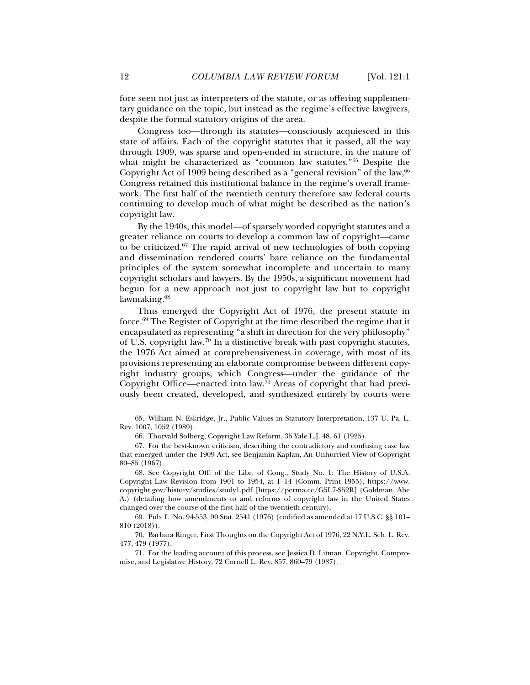fore seen not just as interpreters of the statute, or as offering supplementary guidance on the topic, but instead as the regime's effective lawgivers, despite the formal statutory origins of the area.

Congress too—through its statutes—consciously acquiesced in this state of affairs. Each of the copyright statutes that it passed, all the way through 1909, was sparse and open-ended in structure, in the nature of what might be characterized as "common law statutes."65 Despite the Copyright Act of 1909 being described as a "general revision" of the law, <sup>66</sup> Congress retained this institutional balance in the regime's overall framework. The first half of the twentieth century therefore saw federal courts continuing to develop much of what might be described as the nation's copyright law.

By the 1940s, this model—of sparsely worded copyright statutes and a greater reliance on courts to develop a common law of copyright—came to be criticized.67 The rapid arrival of new technologies of both copying and dissemination rendered courts' bare reliance on the fundamental principles of the system somewhat incomplete and uncertain to many copyright scholars and lawyers. By the 1950s, a significant movement had begun for a new approach not just to copyright law but to copyright lawmaking.<sup>68</sup>

Thus emerged the Copyright Act of 1976, the present statute in force.69 The Register of Copyright at the time described the regime that it encapsulated as representing "a shift in direction for the very philosophy" of U.S. copyright law.70 In a distinctive break with past copyright statutes, the 1976 Act aimed at comprehensiveness in coverage, with most of its provisions representing an elaborate compromise between different copyright industry groups, which Congress—under the guidance of the Copyright Office—enacted into law.71 Areas of copyright that had previously been created, developed, and synthesized entirely by courts were

 <sup>65.</sup> William N. Eskridge, Jr., Public Values in Statutory Interpretation, 137 U. Pa. L. Rev. 1007, 1052 (1989).

 <sup>66.</sup> Thorvald Solberg, Copyright Law Reform, 35 Yale L.J. 48, 61 (1925).

 <sup>67.</sup> For the best-known criticism, describing the contradictory and confusing case law that emerged under the 1909 Act, see Benjamin Kaplan, An Unhurried View of Copyright 80–85 (1967).

 <sup>68.</sup> See Copyright Off. of the Libr. of Cong., Study No. 1: The History of U.S.A. Copyright Law Revision from 1901 to 1954, at 1–14 (Comm. Print 1955), https://www. copyright.gov/history/studies/study1.pdf [https://perma.cc/G5L7-S52R] (Goldman, Abe A.) (detailing how amendments to and reforms of copyright law in the United States changed over the course of the first half of the twentieth century).

 <sup>69.</sup> Pub. L. No. 94-553, 90 Stat. 2541 (1976) (codified as amended at 17 U.S.C. §§ 101– 810 (2018)).

 <sup>70.</sup> Barbara Ringer, First Thoughts on the Copyright Act of 1976, 22 N.Y.L. Sch. L. Rev. 477, 479 (1977).

 <sup>71.</sup> For the leading account of this process, see Jessica D. Litman, Copyright, Compromise, and Legislative History, 72 Cornell L. Rev. 857, 860–79 (1987).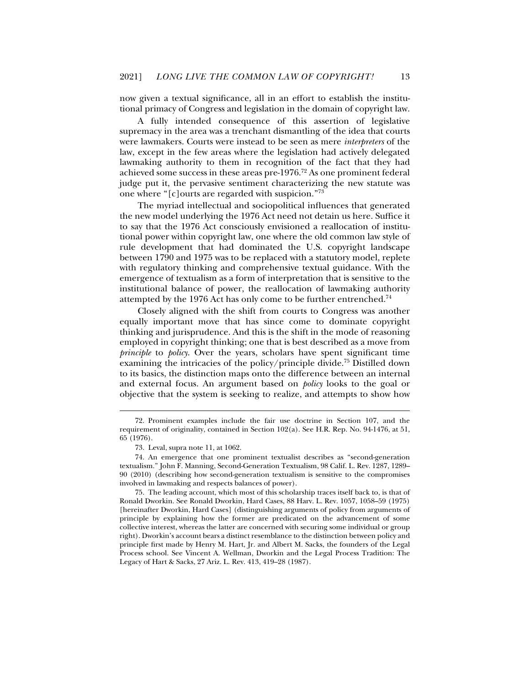now given a textual significance, all in an effort to establish the institutional primacy of Congress and legislation in the domain of copyright law.

A fully intended consequence of this assertion of legislative supremacy in the area was a trenchant dismantling of the idea that courts were lawmakers. Courts were instead to be seen as mere *interpreters* of the law, except in the few areas where the legislation had actively delegated lawmaking authority to them in recognition of the fact that they had achieved some success in these areas pre-1976.72 As one prominent federal judge put it, the pervasive sentiment characterizing the new statute was one where "[c]ourts are regarded with suspicion."73

The myriad intellectual and sociopolitical influences that generated the new model underlying the 1976 Act need not detain us here. Suffice it to say that the 1976 Act consciously envisioned a reallocation of institutional power within copyright law, one where the old common law style of rule development that had dominated the U.S. copyright landscape between 1790 and 1975 was to be replaced with a statutory model, replete with regulatory thinking and comprehensive textual guidance. With the emergence of textualism as a form of interpretation that is sensitive to the institutional balance of power, the reallocation of lawmaking authority attempted by the 1976 Act has only come to be further entrenched.<sup>74</sup>

Closely aligned with the shift from courts to Congress was another equally important move that has since come to dominate copyright thinking and jurisprudence. And this is the shift in the mode of reasoning employed in copyright thinking; one that is best described as a move from *principle* to *policy*. Over the years, scholars have spent significant time examining the intricacies of the policy/principle divide.<sup>75</sup> Distilled down to its basics, the distinction maps onto the difference between an internal and external focus. An argument based on *policy* looks to the goal or objective that the system is seeking to realize, and attempts to show how

 <sup>72.</sup> Prominent examples include the fair use doctrine in Section 107, and the requirement of originality, contained in Section 102(a). See H.R. Rep. No. 94-1476, at 51, 65 (1976).

 <sup>73.</sup> Leval, supra note 11, at 1062.

 <sup>74.</sup> An emergence that one prominent textualist describes as "second-generation textualism." John F. Manning, Second-Generation Textualism, 98 Calif. L. Rev. 1287, 1289– 90 (2010) (describing how second-generation textualism is sensitive to the compromises involved in lawmaking and respects balances of power).

 <sup>75.</sup> The leading account, which most of this scholarship traces itself back to, is that of Ronald Dworkin. See Ronald Dworkin, Hard Cases, 88 Harv. L. Rev. 1057, 1058–59 (1975) [hereinafter Dworkin, Hard Cases] (distinguishing arguments of policy from arguments of principle by explaining how the former are predicated on the advancement of some collective interest, whereas the latter are concerned with securing some individual or group right). Dworkin's account bears a distinct resemblance to the distinction between policy and principle first made by Henry M. Hart, Jr. and Albert M. Sacks, the founders of the Legal Process school. See Vincent A. Wellman, Dworkin and the Legal Process Tradition: The Legacy of Hart & Sacks, 27 Ariz. L. Rev. 413, 419–28 (1987).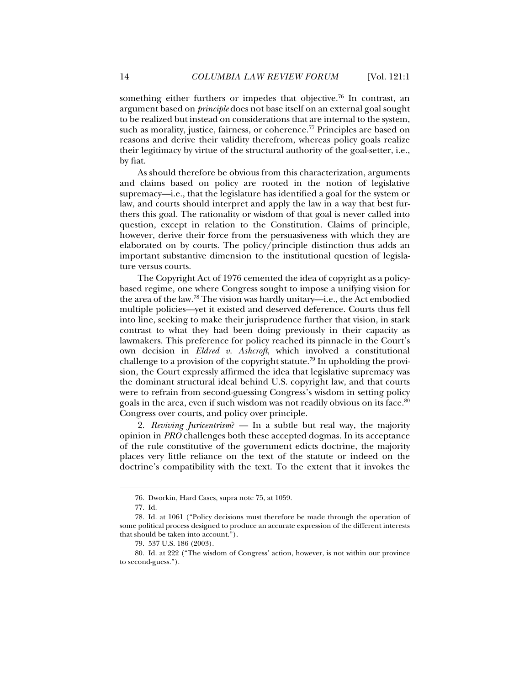something either furthers or impedes that objective.<sup>76</sup> In contrast, an argument based on *principle* does not base itself on an external goal sought to be realized but instead on considerations that are internal to the system, such as morality, justice, fairness, or coherence.<sup>77</sup> Principles are based on reasons and derive their validity therefrom, whereas policy goals realize their legitimacy by virtue of the structural authority of the goal-setter, i.e., by fiat.

As should therefore be obvious from this characterization, arguments and claims based on policy are rooted in the notion of legislative supremacy—i.e., that the legislature has identified a goal for the system or law, and courts should interpret and apply the law in a way that best furthers this goal. The rationality or wisdom of that goal is never called into question, except in relation to the Constitution. Claims of principle, however, derive their force from the persuasiveness with which they are elaborated on by courts. The policy/principle distinction thus adds an important substantive dimension to the institutional question of legislature versus courts.

The Copyright Act of 1976 cemented the idea of copyright as a policybased regime, one where Congress sought to impose a unifying vision for the area of the law.78 The vision was hardly unitary—i.e., the Act embodied multiple policies—yet it existed and deserved deference. Courts thus fell into line, seeking to make their jurisprudence further that vision, in stark contrast to what they had been doing previously in their capacity as lawmakers. This preference for policy reached its pinnacle in the Court's own decision in *Eldred v. Ashcroft*, which involved a constitutional challenge to a provision of the copyright statute.79 In upholding the provision, the Court expressly affirmed the idea that legislative supremacy was the dominant structural ideal behind U.S. copyright law, and that courts were to refrain from second-guessing Congress's wisdom in setting policy goals in the area, even if such wisdom was not readily obvious on its face.<sup>80</sup> Congress over courts, and policy over principle.

2. *Reviving Juricentrism*? — In a subtle but real way, the majority opinion in *PRO* challenges both these accepted dogmas. In its acceptance of the rule constitutive of the government edicts doctrine, the majority places very little reliance on the text of the statute or indeed on the doctrine's compatibility with the text. To the extent that it invokes the

 <sup>76.</sup> Dworkin, Hard Cases, supra note 75, at 1059.

 <sup>77.</sup> Id.

 <sup>78.</sup> Id. at 1061 ("Policy decisions must therefore be made through the operation of some political process designed to produce an accurate expression of the different interests that should be taken into account.").

 <sup>79. 537</sup> U.S. 186 (2003).

 <sup>80.</sup> Id. at 222 ("The wisdom of Congress' action, however, is not within our province to second-guess.").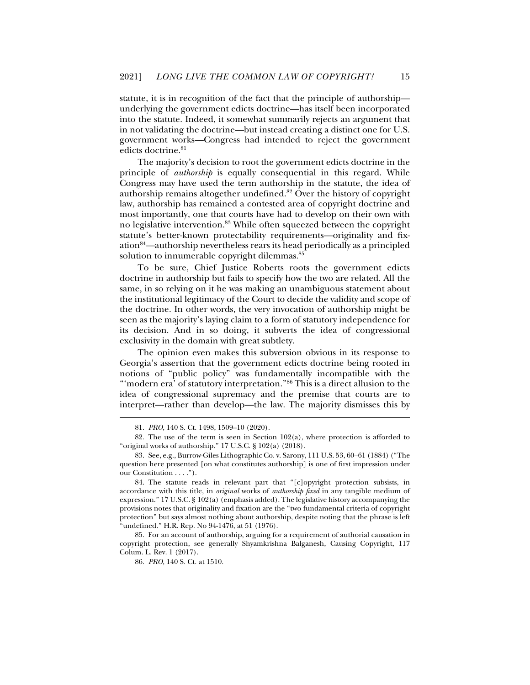statute, it is in recognition of the fact that the principle of authorship underlying the government edicts doctrine—has itself been incorporated into the statute. Indeed, it somewhat summarily rejects an argument that in not validating the doctrine—but instead creating a distinct one for U.S. government works—Congress had intended to reject the government edicts doctrine.<sup>81</sup>

The majority's decision to root the government edicts doctrine in the principle of *authorship* is equally consequential in this regard. While Congress may have used the term authorship in the statute, the idea of authorship remains altogether undefined.<sup>82</sup> Over the history of copyright law, authorship has remained a contested area of copyright doctrine and most importantly, one that courts have had to develop on their own with no legislative intervention.83 While often squeezed between the copyright statute's better-known protectability requirements—originality and fixation84—authorship nevertheless rears its head periodically as a principled solution to innumerable copyright dilemmas.<sup>85</sup>

To be sure, Chief Justice Roberts roots the government edicts doctrine in authorship but fails to specify how the two are related. All the same, in so relying on it he was making an unambiguous statement about the institutional legitimacy of the Court to decide the validity and scope of the doctrine. In other words, the very invocation of authorship might be seen as the majority's laying claim to a form of statutory independence for its decision. And in so doing, it subverts the idea of congressional exclusivity in the domain with great subtlety.

The opinion even makes this subversion obvious in its response to Georgia's assertion that the government edicts doctrine being rooted in notions of "public policy" was fundamentally incompatible with the "'modern era' of statutory interpretation."<sup>86</sup> This is a direct allusion to the idea of congressional supremacy and the premise that courts are to interpret—rather than develop—the law. The majority dismisses this by

j

 85. For an account of authorship, arguing for a requirement of authorial causation in copyright protection, see generally Shyamkrishna Balganesh, Causing Copyright, 117 Colum. L. Rev. 1 (2017).

86. *PRO*, 140 S. Ct. at 1510.

 <sup>81.</sup> *PRO*, 140 S. Ct. 1498, 1509–10 (2020).

 <sup>82.</sup> The use of the term is seen in Section 102(a), where protection is afforded to "original works of authorship." 17 U.S.C. § 102(a) (2018).

 <sup>83.</sup> See, e.g., Burrow-Giles Lithographic Co. v. Sarony, 111 U.S. 53, 60–61 (1884) ("The question here presented [on what constitutes authorship] is one of first impression under our Constitution . . . .").

 <sup>84.</sup> The statute reads in relevant part that "[c]opyright protection subsists, in accordance with this title, in *original* works of *authorship fixed* in any tangible medium of expression." 17 U.S.C. § 102(a) (emphasis added). The legislative history accompanying the provisions notes that originality and fixation are the "two fundamental criteria of copyright protection" but says almost nothing about authorship, despite noting that the phrase is left "undefined." H.R. Rep. No 94-1476, at 51 (1976).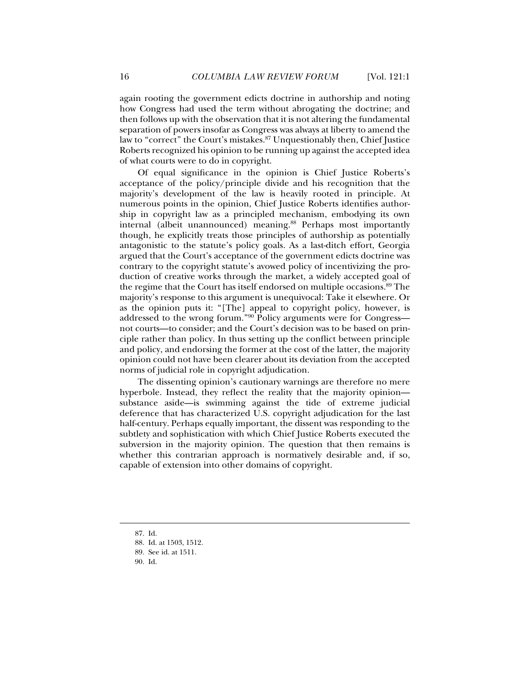again rooting the government edicts doctrine in authorship and noting how Congress had used the term without abrogating the doctrine; and then follows up with the observation that it is not altering the fundamental separation of powers insofar as Congress was always at liberty to amend the law to "correct" the Court's mistakes.<sup>87</sup> Unquestionably then, Chief Justice Roberts recognized his opinion to be running up against the accepted idea of what courts were to do in copyright.

Of equal significance in the opinion is Chief Justice Roberts's acceptance of the policy/principle divide and his recognition that the majority's development of the law is heavily rooted in principle. At numerous points in the opinion, Chief Justice Roberts identifies authorship in copyright law as a principled mechanism, embodying its own internal (albeit unannounced) meaning.<sup>88</sup> Perhaps most importantly though, he explicitly treats those principles of authorship as potentially antagonistic to the statute's policy goals. As a last-ditch effort, Georgia argued that the Court's acceptance of the government edicts doctrine was contrary to the copyright statute's avowed policy of incentivizing the production of creative works through the market, a widely accepted goal of the regime that the Court has itself endorsed on multiple occasions.<sup>89</sup> The majority's response to this argument is unequivocal: Take it elsewhere. Or as the opinion puts it: "[The] appeal to copyright policy, however, is addressed to the wrong forum."90 Policy arguments were for Congress not courts—to consider; and the Court's decision was to be based on principle rather than policy. In thus setting up the conflict between principle and policy, and endorsing the former at the cost of the latter, the majority opinion could not have been clearer about its deviation from the accepted norms of judicial role in copyright adjudication.

The dissenting opinion's cautionary warnings are therefore no mere hyperbole. Instead, they reflect the reality that the majority opinion substance aside—is swimming against the tide of extreme judicial deference that has characterized U.S. copyright adjudication for the last half-century. Perhaps equally important, the dissent was responding to the subtlety and sophistication with which Chief Justice Roberts executed the subversion in the majority opinion. The question that then remains is whether this contrarian approach is normatively desirable and, if so, capable of extension into other domains of copyright.

 <sup>87.</sup> Id.

 <sup>88.</sup> Id. at 1503, 1512.

 <sup>89.</sup> See id. at 1511.

 <sup>90.</sup> Id.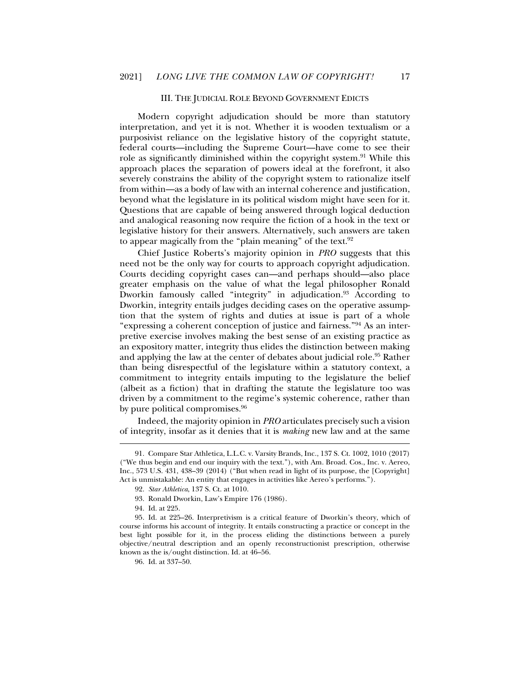#### III. THE JUDICIAL ROLE BEYOND GOVERNMENT EDICTS

Modern copyright adjudication should be more than statutory interpretation, and yet it is not. Whether it is wooden textualism or a purposivist reliance on the legislative history of the copyright statute, federal courts—including the Supreme Court—have come to see their role as significantly diminished within the copyright system.<sup>91</sup> While this approach places the separation of powers ideal at the forefront, it also severely constrains the ability of the copyright system to rationalize itself from within—as a body of law with an internal coherence and justification, beyond what the legislature in its political wisdom might have seen for it. Questions that are capable of being answered through logical deduction and analogical reasoning now require the fiction of a hook in the text or legislative history for their answers. Alternatively, such answers are taken to appear magically from the "plain meaning" of the text.<sup>92</sup>

Chief Justice Roberts's majority opinion in *PRO* suggests that this need not be the only way for courts to approach copyright adjudication. Courts deciding copyright cases can—and perhaps should—also place greater emphasis on the value of what the legal philosopher Ronald Dworkin famously called "integrity" in adjudication.<sup>93</sup> According to Dworkin, integrity entails judges deciding cases on the operative assumption that the system of rights and duties at issue is part of a whole "expressing a coherent conception of justice and fairness."94 As an interpretive exercise involves making the best sense of an existing practice as an expository matter, integrity thus elides the distinction between making and applying the law at the center of debates about judicial role.<sup>95</sup> Rather than being disrespectful of the legislature within a statutory context, a commitment to integrity entails imputing to the legislature the belief (albeit as a fiction) that in drafting the statute the legislature too was driven by a commitment to the regime's systemic coherence, rather than by pure political compromises.<sup>96</sup>

Indeed, the majority opinion in *PRO* articulates precisely such a vision of integrity, insofar as it denies that it is *making* new law and at the same

 <sup>91.</sup> Compare Star Athletica, L.L.C. v. Varsity Brands, Inc., 137 S. Ct. 1002, 1010 (2017) ("We thus begin and end our inquiry with the text."), with Am. Broad. Cos., Inc. v. Aereo, Inc., 573 U.S. 431, 438–39 (2014) ("But when read in light of its purpose, the [Copyright] Act is unmistakable: An entity that engages in activities like Aereo's performs.").

 <sup>92.</sup> *Star Athletica*, 137 S. Ct. at 1010.

 <sup>93.</sup> Ronald Dworkin, Law's Empire 176 (1986).

 <sup>94.</sup> Id. at 225.

 <sup>95.</sup> Id. at 225–26. Interpretivism is a critical feature of Dworkin's theory, which of course informs his account of integrity. It entails constructing a practice or concept in the best light possible for it, in the process eliding the distinctions between a purely objective/neutral description and an openly reconstructionist prescription, otherwise known as the is/ought distinction. Id. at 46–56.

 <sup>96.</sup> Id. at 337–50.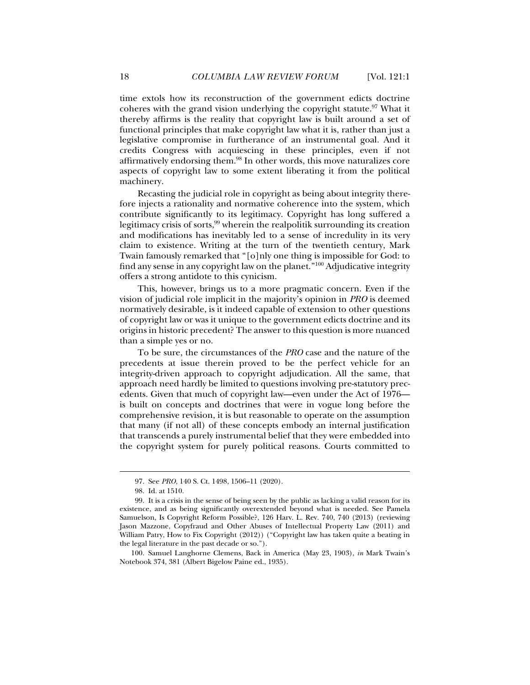time extols how its reconstruction of the government edicts doctrine coheres with the grand vision underlying the copyright statute.<sup>97</sup> What it thereby affirms is the reality that copyright law is built around a set of functional principles that make copyright law what it is, rather than just a legislative compromise in furtherance of an instrumental goal. And it credits Congress with acquiescing in these principles, even if not affirmatively endorsing them.98 In other words, this move naturalizes core aspects of copyright law to some extent liberating it from the political machinery.

Recasting the judicial role in copyright as being about integrity therefore injects a rationality and normative coherence into the system, which contribute significantly to its legitimacy. Copyright has long suffered a legitimacy crisis of sorts,<sup>99</sup> wherein the realpolitik surrounding its creation and modifications has inevitably led to a sense of incredulity in its very claim to existence. Writing at the turn of the twentieth century, Mark Twain famously remarked that "[o]nly one thing is impossible for God: to find any sense in any copyright law on the planet."100 Adjudicative integrity offers a strong antidote to this cynicism.

This, however, brings us to a more pragmatic concern. Even if the vision of judicial role implicit in the majority's opinion in *PRO* is deemed normatively desirable, is it indeed capable of extension to other questions of copyright law or was it unique to the government edicts doctrine and its origins in historic precedent? The answer to this question is more nuanced than a simple yes or no.

To be sure, the circumstances of the *PRO* case and the nature of the precedents at issue therein proved to be the perfect vehicle for an integrity-driven approach to copyright adjudication. All the same, that approach need hardly be limited to questions involving pre-statutory precedents. Given that much of copyright law—even under the Act of 1976 is built on concepts and doctrines that were in vogue long before the comprehensive revision, it is but reasonable to operate on the assumption that many (if not all) of these concepts embody an internal justification that transcends a purely instrumental belief that they were embedded into the copyright system for purely political reasons. Courts committed to

j

 100. Samuel Langhorne Clemens, Back in America (May 23, 1903), *in* Mark Twain's Notebook 374, 381 (Albert Bigelow Paine ed., 1935).

 <sup>97.</sup> See *PRO*, 140 S. Ct. 1498, 1506–11 (2020).

 <sup>98.</sup> Id. at 1510.

 <sup>99.</sup> It is a crisis in the sense of being seen by the public as lacking a valid reason for its existence, and as being significantly overextended beyond what is needed. See Pamela Samuelson, Is Copyright Reform Possible?, 126 Harv. L. Rev. 740, 740 (2013) (reviewing Jason Mazzone, Copyfraud and Other Abuses of Intellectual Property Law (2011) and William Patry, How to Fix Copyright (2012)) ("Copyright law has taken quite a beating in the legal literature in the past decade or so.").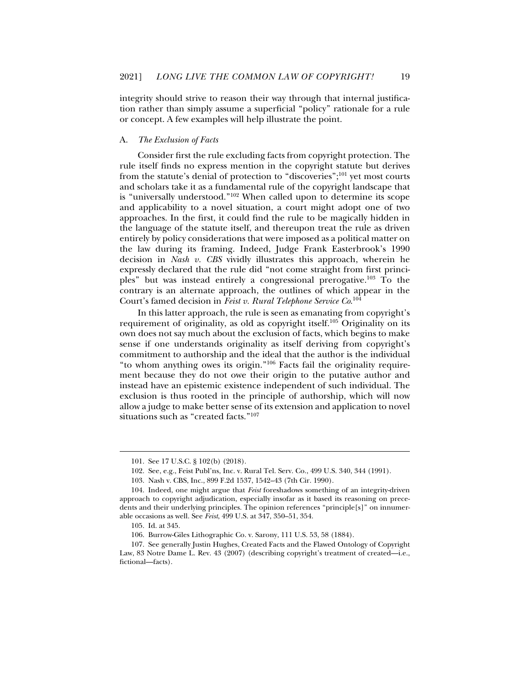integrity should strive to reason their way through that internal justification rather than simply assume a superficial "policy" rationale for a rule or concept. A few examples will help illustrate the point.

#### A. *The Exclusion of Facts*

Consider first the rule excluding facts from copyright protection. The rule itself finds no express mention in the copyright statute but derives from the statute's denial of protection to "discoveries";101 yet most courts and scholars take it as a fundamental rule of the copyright landscape that is "universally understood."102 When called upon to determine its scope and applicability to a novel situation, a court might adopt one of two approaches. In the first, it could find the rule to be magically hidden in the language of the statute itself, and thereupon treat the rule as driven entirely by policy considerations that were imposed as a political matter on the law during its framing. Indeed, Judge Frank Easterbrook's 1990 decision in *Nash v. CBS* vividly illustrates this approach, wherein he expressly declared that the rule did "not come straight from first principles" but was instead entirely a congressional prerogative.103 To the contrary is an alternate approach, the outlines of which appear in the Court's famed decision in *Feist v. Rural Telephone Service Co*. 104

In this latter approach, the rule is seen as emanating from copyright's requirement of originality, as old as copyright itself.<sup>105</sup> Originality on its own does not say much about the exclusion of facts, which begins to make sense if one understands originality as itself deriving from copyright's commitment to authorship and the ideal that the author is the individual "to whom anything owes its origin."106 Facts fail the originality requirement because they do not owe their origin to the putative author and instead have an epistemic existence independent of such individual. The exclusion is thus rooted in the principle of authorship, which will now allow a judge to make better sense of its extension and application to novel situations such as "created facts."107

 <sup>101.</sup> See 17 U.S.C. § 102(b) (2018).

 <sup>102.</sup> See, e.g., Feist Publ'ns, Inc. v. Rural Tel. Serv. Co., 499 U.S. 340, 344 (1991).

 <sup>103.</sup> Nash v. CBS, Inc., 899 F.2d 1537, 1542–43 (7th Cir. 1990).

 <sup>104.</sup> Indeed, one might argue that *Feist* foreshadows something of an integrity-driven approach to copyright adjudication, especially insofar as it based its reasoning on precedents and their underlying principles. The opinion references "principle[s]" on innumerable occasions as well. See *Feist*, 499 U.S. at 347, 350–51, 354.

 <sup>105.</sup> Id. at 345.

 <sup>106.</sup> Burrow-Giles Lithographic Co. v. Sarony, 111 U.S. 53, 58 (1884).

 <sup>107.</sup> See generally Justin Hughes, Created Facts and the Flawed Ontology of Copyright Law, 83 Notre Dame L. Rev. 43 (2007) (describing copyright's treatment of created—i.e., fictional—facts).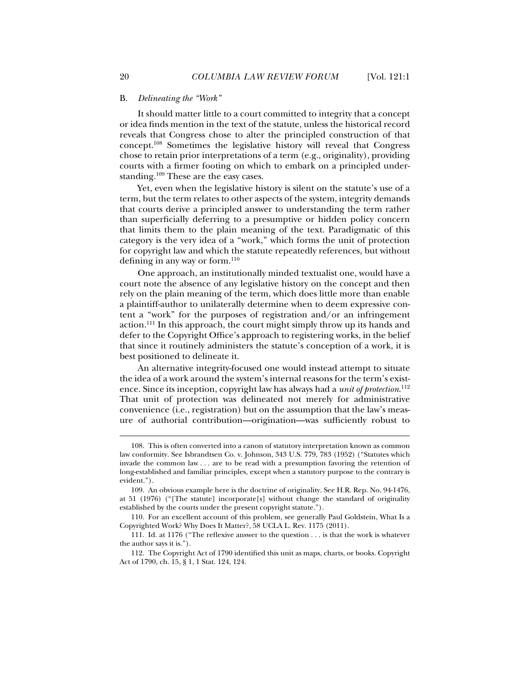#### B. *Delineating the "Work"*

It should matter little to a court committed to integrity that a concept or idea finds mention in the text of the statute, unless the historical record reveals that Congress chose to alter the principled construction of that concept.108 Sometimes the legislative history will reveal that Congress chose to retain prior interpretations of a term (e.g., originality), providing courts with a firmer footing on which to embark on a principled understanding.109 These are the easy cases.

Yet, even when the legislative history is silent on the statute's use of a term, but the term relates to other aspects of the system, integrity demands that courts derive a principled answer to understanding the term rather than superficially deferring to a presumptive or hidden policy concern that limits them to the plain meaning of the text. Paradigmatic of this category is the very idea of a "work," which forms the unit of protection for copyright law and which the statute repeatedly references, but without defining in any way or form. $110$ 

One approach, an institutionally minded textualist one, would have a court note the absence of any legislative history on the concept and then rely on the plain meaning of the term, which does little more than enable a plaintiff-author to unilaterally determine when to deem expressive content a "work" for the purposes of registration and/or an infringement action.111 In this approach, the court might simply throw up its hands and defer to the Copyright Office's approach to registering works, in the belief that since it routinely administers the statute's conception of a work, it is best positioned to delineate it.

An alternative integrity-focused one would instead attempt to situate the idea of a work around the system's internal reasons for the term's existence. Since its inception, copyright law has always had a *unit of protection*. 112 That unit of protection was delineated not merely for administrative convenience (i.e., registration) but on the assumption that the law's measure of authorial contribution—origination—was sufficiently robust to

 <sup>108.</sup> This is often converted into a canon of statutory interpretation known as common law conformity. See Isbrandtsen Co. v. Johnson, 343 U.S. 779, 783 (1952) ("Statutes which invade the common law . . . are to be read with a presumption favoring the retention of long-established and familiar principles, except when a statutory purpose to the contrary is evident.").

 <sup>109.</sup> An obvious example here is the doctrine of originality. See H.R. Rep. No. 94-1476, at 51 (1976) ("[The statute] incorporate[s] without change the standard of originality established by the courts under the present copyright statute.").

 <sup>110.</sup> For an excellent account of this problem, see generally Paul Goldstein, What Is a Copyrighted Work? Why Does It Matter?, 58 UCLA L. Rev. 1175 (2011).

 <sup>111.</sup> Id. at 1176 ("The reflexive answer to the question . . . is that the work is whatever the author says it is.").

 <sup>112.</sup> The Copyright Act of 1790 identified this unit as maps, charts, or books. Copyright Act of 1790, ch. 15, § 1, 1 Stat. 124, 124.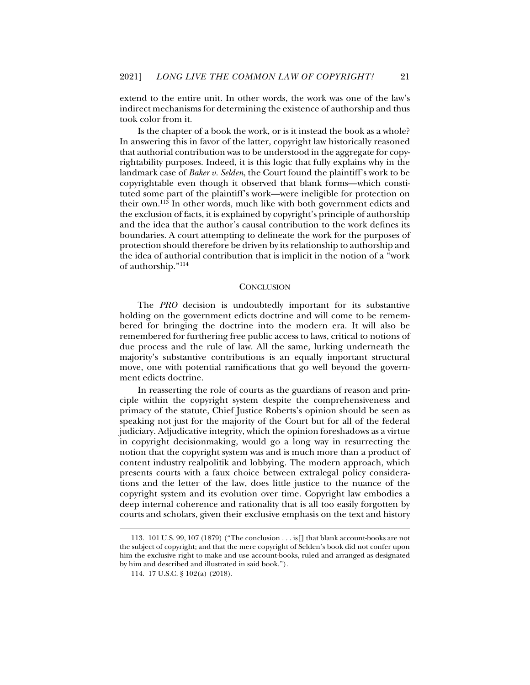extend to the entire unit. In other words, the work was one of the law's indirect mechanisms for determining the existence of authorship and thus took color from it.

Is the chapter of a book the work, or is it instead the book as a whole? In answering this in favor of the latter, copyright law historically reasoned that authorial contribution was to be understood in the aggregate for copyrightability purposes. Indeed, it is this logic that fully explains why in the landmark case of *Baker v. Selden*, the Court found the plaintiff's work to be copyrightable even though it observed that blank forms—which constituted some part of the plaintiff's work—were ineligible for protection on their own.<sup>113</sup> In other words, much like with both government edicts and the exclusion of facts, it is explained by copyright's principle of authorship and the idea that the author's causal contribution to the work defines its boundaries. A court attempting to delineate the work for the purposes of protection should therefore be driven by its relationship to authorship and the idea of authorial contribution that is implicit in the notion of a "work of authorship."114

#### **CONCLUSION**

The *PRO* decision is undoubtedly important for its substantive holding on the government edicts doctrine and will come to be remembered for bringing the doctrine into the modern era. It will also be remembered for furthering free public access to laws, critical to notions of due process and the rule of law. All the same, lurking underneath the majority's substantive contributions is an equally important structural move, one with potential ramifications that go well beyond the government edicts doctrine.

In reasserting the role of courts as the guardians of reason and principle within the copyright system despite the comprehensiveness and primacy of the statute, Chief Justice Roberts's opinion should be seen as speaking not just for the majority of the Court but for all of the federal judiciary. Adjudicative integrity, which the opinion foreshadows as a virtue in copyright decisionmaking, would go a long way in resurrecting the notion that the copyright system was and is much more than a product of content industry realpolitik and lobbying. The modern approach, which presents courts with a faux choice between extralegal policy considerations and the letter of the law, does little justice to the nuance of the copyright system and its evolution over time. Copyright law embodies a deep internal coherence and rationality that is all too easily forgotten by courts and scholars, given their exclusive emphasis on the text and history

 <sup>113. 101</sup> U.S. 99, 107 (1879) ("The conclusion . . . is[] that blank account-books are not the subject of copyright; and that the mere copyright of Selden's book did not confer upon him the exclusive right to make and use account-books, ruled and arranged as designated by him and described and illustrated in said book.").

 <sup>114. 17</sup> U.S.C. § 102(a) (2018).